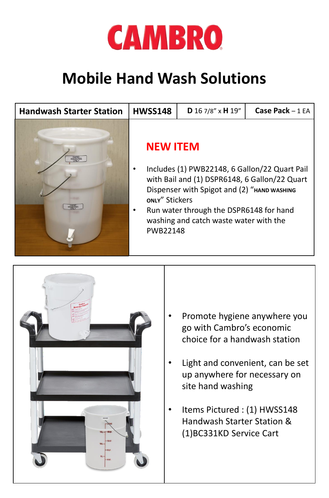

## **Mobile Hand Wash Solutions**

| <b>Handwash Starter Station</b> | <b>HWSS148</b>                                       | D 16 7/8" x H 19"                                                                                                                                                                                                                  | Case Pack $-1EA$ |
|---------------------------------|------------------------------------------------------|------------------------------------------------------------------------------------------------------------------------------------------------------------------------------------------------------------------------------------|------------------|
|                                 | <b>NEW ITEM</b><br>ONLY" Stickers<br><b>PWB22148</b> | Includes (1) PWB22148, 6 Gallon/22 Quart Pail<br>with Bail and (1) DSPR6148, 6 Gallon/22 Quart<br>Dispenser with Spigot and (2) "HAND WASHING<br>Run water through the DSPR6148 for hand<br>washing and catch waste water with the |                  |



- Promote hygiene anywhere you go with Cambro's economic choice for a handwash station
- Light and convenient, can be set up anywhere for necessary on site hand washing
- Items Pictured : (1) HWSS148 Handwash Starter Station & (1)BC331KD Service Cart